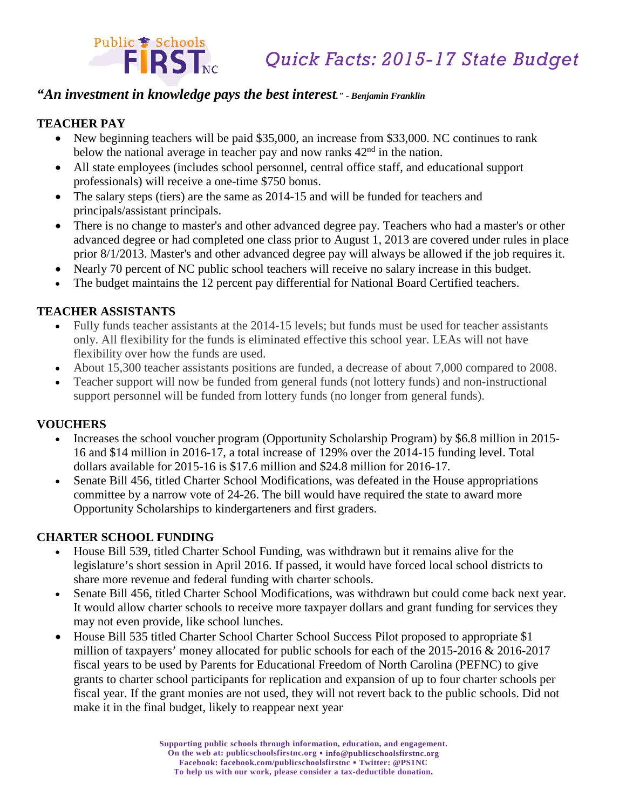

# *"An investment in knowledge pays the best interest." - Benjamin Franklin*

#### **TEACHER PAY**

- New beginning teachers will be paid \$35,000, an increase from \$33,000. NC continues to rank below the national average in teacher pay and now ranks  $42<sup>nd</sup>$  in the nation.
- All state employees (includes school personnel, central office staff, and educational support professionals) will receive a one-time \$750 bonus.
- The salary steps (tiers) are the same as 2014-15 and will be funded for teachers and principals/assistant principals.
- There is no change to master's and other advanced degree pay. Teachers who had a master's or other advanced degree or had completed one class prior to August 1, 2013 are covered under rules in place prior 8/1/2013. Master's and other advanced degree pay will always be allowed if the job requires it.
- Nearly 70 percent of NC public school teachers will receive no salary increase in this budget.
- The budget maintains the 12 percent pay differential for National Board Certified teachers.

#### **TEACHER ASSISTANTS**

- Fully funds teacher assistants at the 2014-15 levels; but funds must be used for teacher assistants only. All flexibility for the funds is eliminated effective this school year. LEAs will not have flexibility over how the funds are used.
- About 15,300 teacher assistants positions are funded, a decrease of about 7,000 compared to 2008.
- Teacher support will now be funded from general funds (not lottery funds) and non-instructional support personnel will be funded from lottery funds (no longer from general funds).

### **VOUCHERS**

- Increases the school voucher program (Opportunity Scholarship Program) by \$6.8 million in 2015- 16 and \$14 million in 2016-17, a total increase of 129% over the 2014-15 funding level. Total dollars available for 2015-16 is \$17.6 million and \$24.8 million for 2016-17.
- Senate Bill 456, titled Charter School Modifications, was defeated in the House appropriations committee by a narrow vote of 24-26. The bill would have required the state to award more Opportunity Scholarships to kindergarteners and first graders.

### **CHARTER SCHOOL FUNDING**

- House Bill 539, titled Charter School Funding, was withdrawn but it remains alive for the legislature's short session in April 2016. If passed, it would have forced local school districts to share more revenue and federal funding with charter schools.
- Senate Bill 456, titled Charter School Modifications, was withdrawn but could come back next year. It would allow charter schools to receive more taxpayer dollars and grant funding for services they may not even provide, like school lunches.
- House Bill 535 titled Charter School Charter School Success Pilot proposed to appropriate \$1 million of taxpayers' money allocated for public schools for each of the 2015-2016 & 2016-2017 fiscal years to be used by Parents for Educational Freedom of North Carolina (PEFNC) to give grants to charter school participants for replication and expansion of up to four charter schools per fiscal year. If the grant monies are not used, they will not revert back to the public schools. Did not make it in the final budget, likely to reappear next year